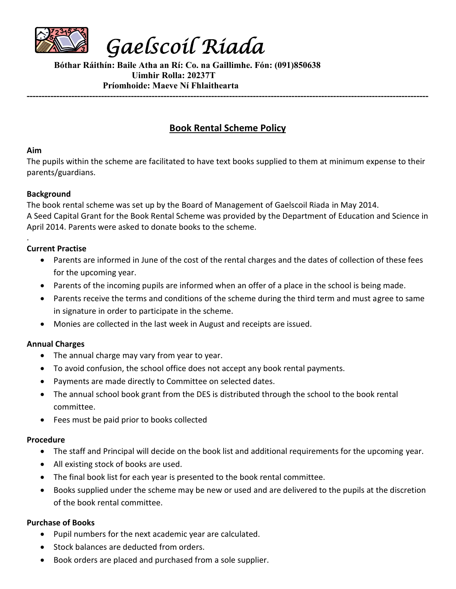

**Gaelscoil Riada**

**Bóthar Ráithín: Baile Atha an Rí: Co. na Gaillimhe. Fón: (091)850638 Uimhir Rolla: 20237T Príomhoide: Maeve Ní Fhlaithearta ---------------------------------------------------------------------------------------------------------------------------------------**

# **Book Rental Scheme Policy**

#### **Aim**

.

The pupils within the scheme are facilitated to have text books supplied to them at minimum expense to their parents/guardians.

## **Background**

The book rental scheme was set up by the Board of Management of Gaelscoil Riada in May 2014. A Seed Capital Grant for the Book Rental Scheme was provided by the Department of Education and Science in April 2014. Parents were asked to donate books to the scheme.

## **Current Practise**

- Parents are informed in June of the cost of the rental charges and the dates of collection of these fees for the upcoming year.
- Parents of the incoming pupils are informed when an offer of a place in the school is being made.
- Parents receive the terms and conditions of the scheme during the third term and must agree to same in signature in order to participate in the scheme.
- Monies are collected in the last week in August and receipts are issued.

# **Annual Charges**

- The annual charge may vary from year to year.
- To avoid confusion, the school office does not accept any book rental payments.
- Payments are made directly to Committee on selected dates.
- The annual school book grant from the DES is distributed through the school to the book rental committee.
- Fees must be paid prior to books collected

# **Procedure**

- The staff and Principal will decide on the book list and additional requirements for the upcoming year.
- All existing stock of books are used.
- The final book list for each year is presented to the book rental committee.
- Books supplied under the scheme may be new or used and are delivered to the pupils at the discretion of the book rental committee.

# **Purchase of Books**

- Pupil numbers for the next academic year are calculated.
- Stock balances are deducted from orders.
- Book orders are placed and purchased from a sole supplier.